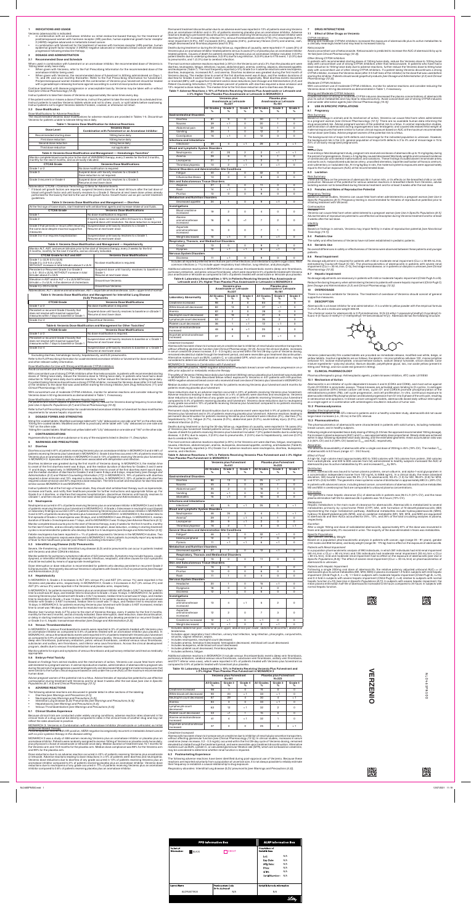## **1 INDICATIONS AND USAGE**

Verzenio (abemaciclib) is indicated:

- in combination with an aromatase inhibitor as initial endocrine-based therapy for the treatment of postmenopausal women with hormone receptor (HR)-positive, human epidermal growth factor receptor
- 2 (HER2)-negative advanced or metastatic breast cancer.<br>• in combination with fulvestrant for the treatment of women with hormone receptor (HR)-positive, human epidermal growth factor receptor 2 (HER2)-negative advanced or metastatic breast cancer with disease progression following endocrine therapy.

### **2 DOSAGE AND ADMINISTRATION**

### **2.1 Recommended Dose and Schedule**

# When used in combination with fulvestrant or an aromatase inhibitor, the recommended dose of Verzenio is

- 150mg taken orally twice daily.<br>• When given with Verzenio, refer to the Full Prescribing Information for the recommended dose of the aromatase inhibitor being used.<br>• When given with Verzenio, the recommended dose of fulvestrant is 500mg administered on Days 1,
- 15, and 29; and once monthly thereafter. Refer to the Full Prescribing Information for fulvestra treated be shown that should be treated be shown that the combination of Verzenio plus fulvestrant should be treated Pre/perimenopausal women treated with the combination of Verzenio plus fulvestrant should be treated with a gonadotropin-releasing hormone agonist according to current clinical practice standards.

Continue treatment until disease progression or unacceptable toxicity. Verzenio may be taken with or without food [see Clinical Pharmacology (12.3)].

Instruct patients to take their doses of Verzenio at approximately the same times every day.

If the patient vomits or misses a dose of Verzenio, instruct the patient to take the next dose at its scheduled time. Instruct patients to swallow Verzenio tablets whole and not to chew, crush, or split tablets before swallowing.<br>Instruct patients not to ingest Verzenio tablets if broken, cracked, or otherwise not intact.

# **2.2 Dose Modification**

Dose Modifications for Adverse Heactions<br>The recommended Verzenio dose modifications for adverse reactions are provided in Tables 1-5. Discontinue Verzenio for patients unable to tolerate 50mg twice daily

# **Table 1: Verzenio Dose Modification for Adverse Reactions**

blood cell growth factor and until toxicity resolves to ≤ Grade 2. Resume at next lower dose unless already performed for the toxicity that led to the use of the growth factor. Growth factor use as per current treatmen .guidelines

# **Table 3: Verzenio Dose Modification and Management - Diarrhea**

| Dose Level                | <b>Verzenio Dose</b><br><b>Combination with Fulvestrant or an Aromatase Inhibitor</b> |
|---------------------------|---------------------------------------------------------------------------------------|
| Recommended starting dose | 150mg twice daily                                                                     |
| First dose reduction      | 100mg twice daily                                                                     |
| Second dose reduction     | 50mg twice daily                                                                      |
| Third dose reduction      | not applicable                                                                        |

## **Table 2: Verzenio Dose Modification and Management — Hematologic Toxicities<sup>®</sup>**

| Monitor complete blood counts prior to the start of VERZENIO therapy, every 2 weeks for the first 2 months,<br>monthly for the next 2 months, and as clinically indicated. |                                                                                            |  |  |  |  |
|----------------------------------------------------------------------------------------------------------------------------------------------------------------------------|--------------------------------------------------------------------------------------------|--|--|--|--|
| <b>CTCAE Grade</b>                                                                                                                                                         | <b>Verzenio Dose Modifications</b>                                                         |  |  |  |  |
| Grade 1 or 2                                                                                                                                                               | No dose modification is required.                                                          |  |  |  |  |
| Grade 3                                                                                                                                                                    | Suspend dose until toxicity resolves to $\leq$ Grade 2.<br>Dose reduction is not required. |  |  |  |  |
| Grade 3 recurrent or Grade 4                                                                                                                                               | Suspend dose until toxicity resolves to $\leq$ Grade 2.<br>Resume at next lower dose.      |  |  |  |  |

Abbreviation: CTCAE = Common Terminology Criteria for Adverse Events.<br>ª If blood cell growth factors are required, suspend Verzenio dose for at least 48 hours after the last dose of

| At the first sign of loose stools, start treatment with antidiarrheal agents and increase intake of oral fluids. |                                                                                                                                  |  |  |  |
|------------------------------------------------------------------------------------------------------------------|----------------------------------------------------------------------------------------------------------------------------------|--|--|--|
| <b>CTCAE Grade</b>                                                                                               | <b>Verzenio Dose Modifications</b>                                                                                               |  |  |  |
| Grade 1                                                                                                          | No dose modification is required.                                                                                                |  |  |  |
| Grade 2                                                                                                          | If toxicity does not resolve within 24 hours to $\leq$ Grade 1,<br>suspend dose until resolution. No dose reduction is required. |  |  |  |
| Grade 2 that persists or recurs after resuming<br>the same dose despite maximal supportive<br>measures           | Suspend dose until toxicity resolves to $\leq$ Grade 1.<br>Resume at next lower dose.                                            |  |  |  |
| Grade 3 or 4 or requires hospitalization                                                                         | Suspend dose until toxicity resolves to $\leq$ Grade 1.<br>Resume at next lower dose.                                            |  |  |  |

# **Table 4: Verzenio Dose Modification and Management - Hepatotoxicity**

150mg film-coated tablets: Modified oval yellow tablet with "Lilly" debossed on one side and "150" on the other side. **CONTRAINDICATIONS 4**

Hypersensitivity to the active substance or to any of the excipients listed in Section 11, Description.

### **5** WARNINGS AND PRECAUTIONS

### 5.1 Diarrhea

Diarrhea occurred in 81% of patients receiving Verzenio plus an aromatase inhibitor in MONARCH 3 and in 86% of<br>patients receiving Verzenio plus fulvestrant in MONARCH 2. Grade 3 diarrhea occurred in 9% of patients receivin Verzenio plus an aromatase inhibitor in MONARCH 3 and in 13% of patients receiving Verzenio plus fulvestrant<br>in MONARCH 2. Episodes of diarrhea have been associated with dehydration and infection.

Diarrhea incidence was greatest during the first month of Verzenio dosing. In MONARCH 3, the median time to onset of the first diarrhea event was 8 days, and the median duration of diarrhea for Grades 2 and 3 were 11 and 8 days, respectively. In MONARCH 2, the median time to onset of the first diarrhea event was 6 days, and the median duration of diarrhea for Grades 2 and 3 were 9 days and 6 days, respectively *[see Dosage and*<br>*Administration (2.2) and Patient Counseling Information (17)].* In MONARCH 3, 19% of patients with diarrhea<br>req required a dose omission and 22% required a dose reduction. The time to onset and resolution for diarrhea we similar across MONARCH 3 and MONARCH 2.

Instruct patients that at the first sign of loose stools, they should start antidiarrheal therapy such as loperamide, increase oral fluids, and notify their healthcare provider for further instructions and appropriate follow up.<br>Grade 3 or 4 diarrhea, or diarrhea that requires hospitalization, discontinue Verzenio until toxicity resolves ≤Grade 1, and then resume Verzenio at the next lower dose [see Dosage and Administration (2.2)]

| Monitor ALT, AST, and serum bilirubin prior to the start of Verzenio therapy, every 2 weeks for the first<br>2 months, monthly for the next 2 months, and as clinically indicated. |                                                                                                               |  |  |  |  |  |
|------------------------------------------------------------------------------------------------------------------------------------------------------------------------------------|---------------------------------------------------------------------------------------------------------------|--|--|--|--|--|
| <b>CTCAE Grade for ALT and AST</b>                                                                                                                                                 | <b>Verzenio Dose Modifications</b>                                                                            |  |  |  |  |  |
| Grade $1$ ( $>$ ULN-3.0 x ULN)<br>Grade $2$ ( $>$ 3.0-5.0 x ULN),<br>WITHOUT increase in total bilirubin above 2 x ULN                                                             | No dose modification is required.                                                                             |  |  |  |  |  |
| Persistent or Recurrent Grade 2 or Grade 3<br>(> 5.0 - 20.0 x ULN), WITHOUT increase in total<br>bilirubin above 2 x ULN                                                           | Suspend dose until toxicity resolves to baseline or<br>Grade 1.<br>Resume at next lower dose.                 |  |  |  |  |  |
| Elevation in AST and/or ALT > 3 x ULN WITH total<br>bilirubin $> 2x$ ULN, in the absence of cholestasis                                                                            | Discontinue Verzenio.                                                                                         |  |  |  |  |  |
| Grade $4$ ( $> 20.0$ x ULN)                                                                                                                                                        | Discontinue Verzenio.                                                                                         |  |  |  |  |  |
|                                                                                                                                                                                    | Abbreviations: ALT = alanine aminotransferase, AST = aspartate aminotransferase, ULN = upper limit of normal. |  |  |  |  |  |

Table 5: Verzenio Dose Modification and Management for Interstitial Lung Disease

| (ILD)/ Pneumonitis                                                                                                                         |                                                                                             |  |  |  |
|--------------------------------------------------------------------------------------------------------------------------------------------|---------------------------------------------------------------------------------------------|--|--|--|
| <b>CTCAE Grade</b>                                                                                                                         | <b>Verzenio Dose Modifications</b>                                                          |  |  |  |
| Grade 1 or 2                                                                                                                               | No dose modification is required.                                                           |  |  |  |
| Persistent or recurrent Grade 2 toxicity that<br>does not resolve with maximal supportive<br>measures within 7 days to baseline or Grade 1 | Suspend dose until toxicity resolves to baseline or ≤Grade 1.<br>Resume at next lower dose. |  |  |  |
| Grade 3 or 4                                                                                                                               | Discontinue Verzenio.                                                                       |  |  |  |
|                                                                                                                                            |                                                                                             |  |  |  |

| Table 6: Verzenio Dose Modification and Management for Other Toxicities <sup>a</sup>                                                       |                                                                                                      |  |  |  |
|--------------------------------------------------------------------------------------------------------------------------------------------|------------------------------------------------------------------------------------------------------|--|--|--|
| <b>CTCAE Grade</b>                                                                                                                         | <b>Verzenio Dose Modifications</b>                                                                   |  |  |  |
| Grade 1 or 2                                                                                                                               | No dose modification is required.                                                                    |  |  |  |
| Persistent or recurrent Grade 2 toxicity that<br>does not resolve with maximal supportive<br>measures within 7 days to baseline or Grade 1 | Suspend dose until toxicity resolves to baseline or ≤ Grade 1.<br>Resume at <i>next lower dose</i> . |  |  |  |

Permanent treatment discontinuation due to an adverse event was reported in 13% of patients receiving Verzenio plus an aromatase inhibitor and in 3% of patients receiving placebo plus an aromatase inhibitor. Adverse reactions leading to permanent discontinuation for patients receiving Verzenio plus an aromatase inhibitor were diarrhea (2%), ALT increased (2%), infection (1%), venous thromboembolic events (VTE) (1%), neutropenia (0.9%), renal impairment (0.9%), AST increased (0.6%), dyspnea (0.6%), pulmonary fibrosis (0.6%) and anemia, rash, weight decreased and thrombocytopenia (each 0.3%).

Deaths during treatment or during the 30-day follow up, regardless of causality, were reported in 11 cases (3%) of<br>Verzenio plus an aromatase inhibitor treated patients versus 3 cases (2%) of placebo plus an aromatase inhi treated patients. Causes of death for patients receiving Verzenio plus an aromatase inhibitor included: 3 (0.9%)<br>patient deaths due to underlying disease, 3 (0.9%) due to lung infection, 3 (0.9%) due to VTE event, 1 (0.3%) to pneumonitis, and 1 (0.3%) due to cerebral infarction.

The most common adverse reactions reported ( $\geq$  20%) in the Verzenio arm and  $\geq$  2% than the placebo arm were diarrhea, neutropenia, fatigue, infections, nausea, abdominal pain, anemia, vomiting, alopecia, decreased appetite and leukopenia (Table 7). The most frequently reported (≥ 5%) Grade 3 or 4 adverse reactions were neutropenia,<br>diarrhea, leukopenia, increased ALT, and anemia. Diarrhea incidence was greatest during the first month of Verzenio dosing. The median time to onset of the first diarrhea event was 8 days, and the median durations of rrhea for Grades 2 and for Grade 3 were 11 days and 8 days, respectively. Most diarrhea events recovered *are (Administration (2.2) and and (Ba<sup>9</sup>*) with supportive treatment and/or dose reductions *[see Dosage and Administration (2.2) and* and our server a represent of the and only of the countert of percent of percent of patients of percent of percent of patients of percent of patient Counseling Information (17)]. Nineteen percent of patients with diarrhea 13% required a dose reduction. The median time to the first dose reduction due to diarrhea was 38 days.

# Table 7: Adverse Reactions ≥ 10% of Patients Receiving Verzenio Plus Anastrozole or Letrozole and

| <sup>1</sup> Grade 3 or 4 | l Suspend dose until toxicity resolves to baseline or ≤ Grade 1. |
|---------------------------|------------------------------------------------------------------|
|                           | <sup>1</sup> Resume at <i>next lower dose</i> .                  |

 $^{\rm a}$  Excluding diarrhea, hematologic toxicity, hepatotoxicity, and ILD/ pneumonitis. Refer to the Full Prescribing Information for coadministered aromatase inhibitor or fulvestrant for dose modifications

and other relevant safety information.

<u>Dose Modification for Use with Strong and Moderate CYP3A Inhibitors</u><br>Avoid concomitant use of the strong CYP3A inhibitor ketoconazole.

With concomitant use of strong CYP3A inhibitors other than ketoconazole, in patients with recommended starting doses of 150mg twice daily, reduce the Verzenio dose to 100mg twice daily. In patients who have had a dose<br>reduction to 100mg twice daily due to adverse reactions, further reduce the Verzenio dose to 50mg twice daily. lf a patient taking Verzenio discontinues a strong CYP3A inhibitor, increase the Verzenio dose (after 3-5 half-lives and the inhibitor) to the dose that was used before starting the strong inhibitor (see Drug Interactions (7.1) and of the inhibitor) to the dose that was used before starting the strong inhibitor (see Drug Interactions (7. **Clinical Pharmacology (12.3)].** 

With concomitant use of moderate CYP3A inhibitors, monitor for adverse reactions and consider reducing the Verzenio dose in 50 mg decrements as demonstrated in Table 1, if necessary.

<u>Dose Modification for Patients with Severe Hepatic Impairment</u><br>For patients with severe hepatic impairment (Child Pugh-C), reduce the Verzenio dosing frequency to once daily<br>[see Use in Specific Populations (8.7) and Clin

Refer to the Full Prescribing Information for coadministered aromatase inhibitor or fulvestrant for dose modification requirements for severe hepatic impairment

### **STRENGTHS** 3 DOSAGE FORMS AND STRENGTHS

50mg film-coated tablets: Modified oval beige tablet with "Lilly" debossed on one side and "50" on the other side. 100mg film-coated tablets: Modified oval white to practically white tablet with "Lilly" debossed on one side and "100" on the other side.

### **Neutropenia 5.2**

Neutropenia occurred in 41% of patients receiving Verzenio plus an aromatase inhibitor in MONARCH 3 and in 46%<br>of patients receiving Verzenio plus fulvestrant in MONARCH 2. A Grade ≥ 3 decrease in neutrophil count (based on laboratory findings) occurred in 22% of patients receiving Verzenio plus an aromatase inhibitor in MONARCH 3 and in 32% of patients receiving Verzenio plus fulvestrant in MONARCH 2. In MONARCH 3, the median time to<br>first episode of Grade ≥ 3 neutropenia was 33 days, and in MONARCH 2 was 29 days. In MONARCH 3, median *duration of Grade ≥ 3 neutropenia was 11 days, and for MONARCH 2 was 15 days [see Adverse Reactions (6.1)].* 

Monitor complete blood counts prior to the start of Verzenio therapy, every 2 weeks for the first 2 months, monthly for the next 2 months, and as clinically indicated. Dose interruption, dose reduction, or delay in starting treatment<br>cycles is recommended for patients who develop Grade 3 or 4 neutropenia *[see Dosage and Administration* 

Febrile neutropenia has been reported in < 1% of patients exposed to Verzenio in the MONARCH studies. Two<br>deaths due to neutropenic sepsis were observed in MONARCH 2. Inform patients to promptly report any episodes *of fever to their healthcare provider [see Patient Counseling Information (17)].* 

## **5.3** Interstitial Lung Disease (ILD)/ Pneumonitis

Severe, life-threatening, or fatal interstitial lung disease (ILD) and/or pneumonitis can occur in patients treated with Verzenio and other CDK4/6 inhibitors.

Monitor patients for pulmonary symptoms indicative of ILD/ pneumonitis. Symptoms may include hypoxia, cough, dyspnea, or interstitial infiltrates on radiologic exams. Infectious, neoplastic, and other causes for such sympt should be excluded by means of appropriate investigations.

Dose interruption or dose reduction is recommended for patients who develop persistent or recurrent Grade 2 ILD/pneumonitis. Permanently discontinue Verzenio in all patients with Grade 3 or 4 ILD or pneumonitis*[see Dosage*<br>*and Administration (2.2)].*  a Includes all reported preferred terms that are part of the Infections and Infestations system organ class. Most common infections ( $>$  1%) include upper respiratory tract infection, lung infection, and pharyngitis

Additional adverse reactions in MONARCH 3 include venous thromboembolic events (deep vein thrombosis, pulmonary embolism, and pelvic venous thrombosis), which were reported in 5% of patients treated with Verzenio plus anastrozole or letrozole as compared to 0.6% of patients treated with anastrozole or letrozole plus placebo.

# Table 8: Laboratory Abnormalities ≥ 10% in Patients Receiving Verzenio Plus Anastrozole or

MONARCH 2: Verzenio in Combination with Fulvestrant<br>Women with HR-positive, HER2-negative advanced or metastatic breast cancer with disease progression on or *therapy endocrine metastatic or adjuvant prior after*

The safety of Verzenio (150mg twice daily) plus fulvestrant (500mg) versus placebo plus fulvestrant was evaluated in MONARCH 2. The data described below reflect exposure to Verzenio in 441 patients with HR-positive,<br>HER2-negative advanced breast cancer who received at least one dose of Verzenio plus fulvestrant in MONARCH 2.

Median duration of treatment was 12 months for patients receiving Verzenio plus fulvestrant and 8 months for patients receiving placebo plus fulvestrant.

Dose reductions due to an adverse reaction occurred in 43% of patients receiving Verzenio plus fulvestrant Adverse reactions leading to dose reductions in  $\geq$  5% of patients were diarrhea and neutropenia. Verzenio dose reductions due to diarrhea of any grade occurred in 19% of patients receiving Verzenio plus fulvestrant compared to 0.4% of patients receiving placebo and fulvestrant. Verzenio dose reductions due to neutropenia of any grade occurred in 10% of patients receiving Verzenio plus fulvestrant compared to no patients receiving  $\theta$ placebo plus fulvestrant.

Permanent study treatment discontinuation due to an adverse event were reported in 9% of patients receiving Verzenio plus tulvestrant and in 3% of patients receiving placebo plus tulvestrant. Adverse reactions leading to<br>permanent discontinuation for patients receiving Verzenio plus fulvestrant were infection (2%), diarrhea (1%) hepatotoxicity (1%), fatigue (0.7%), nausea (0.2%), abdominal pain (0.2%), acute kidney injury (0.2%), and cerebral infarction  $(0.2\%)$ .

Deaths during treatment or during the 30-day tollow up, regardless of causality, were reported in 18 cases (4%)<br>of Verzenio plus fulvestrant treated patients versus 10 cases (5%) of placebo plus fulvestrant treated patient Causes of death for patients receiving Verzenio plus fulvestrant included: 7 (2%) patient deaths due to underlying<br>disease, 4 (0.9%) due to sepsis, 2 (0.5%) due to pneumonitis, 2 (0.5%) due to hepatotoxicity, and one (0.2% due to cerebral infarction.

The most common adverse reactions reported (≥ 20%) in the Verzenio arm were diarrhea, tatigue, neutropenia,<br>nausea, infections, abdominal pain, anemia, leukopenia, decreased appetite, vomiting, and headache (Table 9).<br>The anemia, and infectio

# Table 9: Adverse Reactions ≥ 10% in Patients Receiving Verzenio Plus Fulvestrant and ≥ 2% Higher<br>Than Placebo Plus Fulvestrant in MONARCH 2

## **Hepatotoxicity 5.4**

In MONARCH 3, Grade ≥ 3 increases in ALT (6% versus 2%) and AST (3% versus 1%) were reported in the And Christian (Christian Christian Christian Christian Christian Christian Christian Christian Christian Christian Christian Christian Christian Christian Christian Christian Christian Christian Christian Christian Christ AST (2% versus 3%) were reported in the Verzenio and placebo arms, respectively

In MONARCH 3, for patients receiving Verzenio plus an aromatase inhibitor with Grade ≥ 3 ALT increased, median time to onset was 61 days, and median time to resolution to Grade < 3 was 14 days. In MONARCH 2, for patients<br>receiving Verzenio plus fulvestrant with Grade ≥ 3 ALT increased, median time to onset was 57 days, and median time to resolution to Grade < 3 was 14 days. In MONARCH 3, for patients receiving Verzenio plus an aromatase<br>inhibitor with Grade ≥ 3 AST increased, median time to onset was 71 days, and median time to resolution was 15 days. In MONARCH 2, for patients receiving Verzenio plus fulvestrant with Grade ≥ 3 AST increased, median<br>time to onset was 185 days, and median time to resolution was 13 days.

Monitor liver function tests (LFTs) prior to the start of Verzenio therapy, every 2 weeks for the first 2 months, monthly for the next 2 months, and as clinically indicated. Dose interruption, dose reduction, dose discontinuation,<br>or delay in starting treatment cycles is recommended for patients who develop persistent or recurrent Gra or Grade 3 or 4, hepatic transaminase elevation [see Dosage and Administration (2.2)]

> a Includes abdominal pain, abdominal pain upper, abdominal pain lower, abdominal discomfort, abdominal tenderness tenderness.<br><sup>b</sup> Includes upper respiratory tract infection, urinary tract infection, lung infection, pharyngitis, conjunctivitis,

> sinusitis, vaginal infection, sepsis.<br>Includes neutropenia, neutrophil count decreased.

 $^{\circ}$  . Includes neutropenia, neutrophil count decreased.<br>d . Includes leukopenia, hematocrit decreased, hemoglobin decreased, red blood cell count decreased.<br>f . Includes leukopenia, white blood cell count decreased .<br>f

Includes platelet count decreased, thrombocytopenia

Includes asthenia, fatigue.

Additional adverse reactions in MONARCH 2 include venous thromboembolic events (deep vein thrombosis pulmonary embolism, cerebral venous sinus thrombosis, subclavian vein thrombosis, axillary vein thrombosis, and DVT inferior vena cava), which were reported in 5% of patients treated with Verzenio plus fulvestrant as<br>compared to 0.9% of patients treated with fulvestrant plus placebo.

# Table 10: Laboratory Abnormalities ≥ 10% in Patients Receiving Verzenio Plus Fulvestrant and

# **Thromboembolism Venous 5.5**

In MONARCH 3, venous thromboembolic events were reported in 5% of patients treated with Verzenio plus an aromatase inhibitor as compared to 0.6% of patients treated with an aromatase inhibitor plus placebo. In MONARCH 2, venous thromboembolic events were reported in 5% of patients treated with Verzenio plus fulvestrant as compared to 0.9% of patients treated with fulvestrant plus placebo. Venous thromboembolic events included deep vein thrombosis, pulmonary embolism, pelvic venous thrombosis, cerebral venous sinus thrombosis, subclavian and axillary vein thrombosis, and inferior vena cava thrombosis. Across the clinical development program, deaths due to venous thromboembolism have been reported.

Monitor patients for signs and symptoms of venous thrombosis and pulmonary embolism and treat as medically appropriate

### **5.6 Embryo-Fetal Toxicity**

Based on findings from animal studies and the mechanism of action. Verzenio can cause fetal harm when administered to a pregnant woman. In animal reproduction studies, administration of abemaciclib to pregnant rats during the period of organogenesis caused teratogenicity and decreased fetal weight at maternal exposures that milar to the human clinical exposure based on area under the curve (AUC) at the maximum recomm human dose.

Advise pregnant women of the potential risk to a fetus. Advise females of reproductive potential to use effective contraception during treatment with Verzenio and for at least 3 weeks after the last dose *[see Use in Specific*<br>*Populations (8.1, 8.3) and Clinical Pharmacology (12.1)].* 

## **6** ADVERSE REACTIONS

The following adverse reactions are discussed in greater detail in other sections of the labeling:

Abemaciclib has been shown to increase serum creatinine due to inhibition of renal tubular secretion transporters,<br>without affecting glomerular function *[see Clinical Pharmacology (12.3)].* Across the clinical studies, in remained elevated but stable through the treatment period, and were reversible upon treatment discontinuation.<br>Alternative markers such as BUN, cystatin C, or calculated GFR, which are not based on creatinine, may be considered to determine whether renal function is impaired.

In patients with recommended starting doses of 150mg twice daily, reduce the Verzenio dose to 100mg twice daily with concomitant use of strong CYP3A inhibitors other than ketoconazole. In patients who have had a<br>dose reduction to 100mg twice daily due to adverse reactions, further reduce the Verzenio dose to 50mg twice daily with concomitant use of other strong CYP3A inhibitors. If a patient taking Verzenio discontinues a strong<br>CYP3A inhibitor, increase the Verzenio dose (after 3-5 half-lives of the inhibitor) to the dose that was used starting the inhibitor. Patients should avoid grapefruit products [see Dosage and Administration (2.2) and Clinical .*[(12.3) Pharmacology*

## *Moderate CYP3A Inhibitors*

With concomitant use of moderate CYP3A inhibitors, monitor for adverse reactions and consider reducing the Verzenio dose in 50 mg decrements as demonstrated in Table 1, if necessary.

# Strong and Moderate CYP3A Inducers

Coadministration of strong or moderate CYP3A inducers decreased the plasma concentrations of abemaciclib<br>plus its active metabolites and may lead to reduced activity. Avoid concomitant use of strong CYP3A inducers and consider alternative agents [see Clinical Pharmacology (12.3)].

### **8** USE IN SPECIFIC POPULATIONS

*Based on findings in animals, Verzenio may impair fertility in males of reproductive potential [see Nonclinical* .*[(13.1) Toxicology*

# No overall differences in safety or effectiveness of Verzenio were observed between these patients and younger .patients

# **8.6 Renal Impairment**

No dosage adjustment is required for patients with mild or moderate renal impairment (CLcr ≥ 30-89 mL/min,<br>estimated by Cockcroft-Gault [C-G]). The pharmacokinetics of abemaciclib in patients with severe renal *commated by*<br>impairment (CLcr < 30 mL/min, C-G), end stage renal disease, or in patients on dialysis is unknown [see Clinical .*[(12.3) Pharmacology*

# 8.7 Hepatic Impairment

No dosage adjustments are necessary in patients with mild or moderate hepatic impairment (Child-Pugh A or B). Reduce the dosing frequency when administering Verzenio to patients with severe hepatic impairment (Child-PughC) [see Dosage and Administration (2.2) and Clinical Pharmacology (12.3)].

Hepatic metabolism is the main route of clearance for abemaciclib. Abemaciclib is metabolized to several metabolites primarily by cytochrome P450 (CYP) 3A4, with formation of N-desethylabemaciclib (M2) representing the major metabolism pathway. Additional metabolites include hydroxyabemaciclib (M20),<br>hydroxy-N-desethylabemaciclib (M18), and an oxidative metabolite (M1). M2, M18, and M20 are equipotent to abemaciclib and their AUCs accounted for 25%, 13%, and 26% of the total circulating analytes in plasma, .respectively

|                                                             |                        | Verzenio plus<br>Anastrozole or Letrozole<br>$N = 327$ |                |                           | Placebo plus<br>Anastrozole or Letrozole<br>$N = 161$ |              |  |
|-------------------------------------------------------------|------------------------|--------------------------------------------------------|----------------|---------------------------|-------------------------------------------------------|--------------|--|
|                                                             | <b>All Grades</b><br>% | Grade 3<br>%                                           | Grade 4<br>%   | <b>All Grades</b><br>$\%$ | Grade 3<br>$\%$                                       | Grade 4<br>% |  |
| <b>Gastrointestinal Disorders</b>                           |                        |                                                        |                |                           |                                                       |              |  |
| Diarrhea                                                    | 81                     | 9                                                      | 0              | 30                        | 1                                                     | 0            |  |
| Nausea                                                      | 39                     | < 1                                                    | 0              | 20                        | 1                                                     | 0            |  |
| Abdominal pain                                              | 29                     | 1                                                      | $\Omega$       | 12                        | 1                                                     | $\Omega$     |  |
| Vomiting                                                    | 28                     | 1                                                      | 0              | 12                        | $\overline{2}$                                        | 0            |  |
| Constipation                                                | 16                     | < 1                                                    | 0              | 12                        | 0                                                     | 0            |  |
| <b>Infections and Infestations</b>                          |                        |                                                        |                |                           |                                                       |              |  |
| Infections <sup>a</sup>                                     | 39                     | $\overline{4}$                                         | < 1            | 29                        | $\overline{c}$                                        | < 1          |  |
| <b>Blood and Lymphatic System Disorders</b>                 |                        |                                                        |                |                           |                                                       |              |  |
| Neutropenia                                                 | 41                     | 20                                                     | $\overline{2}$ | $\overline{2}$            | < 1                                                   | < 1          |  |
| Anemia                                                      | 28                     | 6                                                      | $\mathbf 0$    | 5                         | 1                                                     | 0            |  |
| Leukopenia                                                  | 21                     | $\overline{7}$                                         | < 1            | $\overline{2}$            | 0                                                     | < 1          |  |
| Thrombocytopenia                                            | 10                     | $\overline{2}$                                         | < 1            | $\overline{2}$            | < 1                                                   | $\Omega$     |  |
| <b>General Disorders and Administration Site Conditions</b> |                        |                                                        |                |                           |                                                       |              |  |
| Fatigue                                                     | 40                     | $\overline{2}$                                         | 0              | 32                        | 0                                                     | 0            |  |
| Influenza like illness                                      | 10                     | $\Omega$                                               | 0              | 8                         | 0                                                     | 0            |  |
| <b>Skin and Subcutaneous Tissue Disorders</b>               |                        |                                                        |                |                           |                                                       |              |  |
| Alopecia                                                    | 27                     | $\Omega$                                               | 0              | 11                        | 0                                                     | 0            |  |
| Rash                                                        | 14                     | < 1                                                    | 0              | 5                         | $\Omega$                                              | 0            |  |
| Pruritus                                                    | 13                     | $\Omega$                                               | 0              | 9                         | 0                                                     | $\mathbf 0$  |  |
| <b>Metabolism and Nutrition Disorders</b>                   |                        |                                                        |                |                           |                                                       |              |  |
| Decreased appetite                                          | 24                     | 1                                                      | $\Omega$       | 9                         | < 1                                                   | $\Omega$     |  |
| Investigations                                              |                        |                                                        |                |                           |                                                       |              |  |
| <b>Blood creatinine</b><br>increased                        | 19                     | 2                                                      | 0              | 4                         | $\Omega$                                              | $\Omega$     |  |
| Alanine<br>aminotransferase<br>increased                    | 16                     | 6                                                      | $<$ 1          | 7                         | 2                                                     | 0            |  |
| Aspartate<br>aminotransferase<br>increased                  | 15                     | 3                                                      | 0              | 7                         | 1                                                     | 0            |  |
| Weight decreased                                            | 10                     | < 1                                                    | 0              | 3                         | < 1                                                   | 0            |  |
| Respiratory, Thoracic, and Mediastinal Disorders            |                        |                                                        |                |                           |                                                       |              |  |
| Cough                                                       | 13                     | 0                                                      | 0              | 9                         | 0                                                     | 0            |  |
| Dyspnea                                                     | 12                     | < 1                                                    | < 1            | 6                         | < 1                                                   | $\Omega$     |  |
| <b>Nervous System Disorders</b>                             |                        |                                                        |                |                           |                                                       |              |  |
| <b>Dizziness</b>                                            | 11                     | < 1                                                    | 0              | 9                         | 0                                                     | 0            |  |

| Letrozole and ≥ 2% Higher Than Placebo Plus Anastrozole or Letrozole in MONARCH 3 |                                                        |                |              |                                                       |              |              |  |
|-----------------------------------------------------------------------------------|--------------------------------------------------------|----------------|--------------|-------------------------------------------------------|--------------|--------------|--|
|                                                                                   | Verzenio plus<br>Anastrozole or Letrozole<br>$N = 327$ |                |              | Placebo plus<br>Anastrozole or Letrozole<br>$N = 161$ |              |              |  |
| <b>Laboratory Abnormality</b>                                                     | <b>All Grades</b><br>℅                                 | Grade 3<br>℅   | Grade 4<br>℅ | <b>All Grades</b><br>℅                                | Grade 3<br>℅ | Grade 4<br>℅ |  |
| Creatinine increased                                                              | 98                                                     | $\mathfrak{p}$ | $\Omega$     | 84                                                    | $\Omega$     | $\Omega$     |  |
| White blood cell decreased                                                        | 82                                                     | 13             | $\Omega$     | 27                                                    | < 1          | $\Omega$     |  |
| Anemia                                                                            | 82                                                     | 2              | $\Omega$     | 28                                                    | $\Omega$     | $\Omega$     |  |
| Neutrophil count decreased                                                        | 80                                                     | 19             | 3            | 21                                                    | 3            | $\Omega$     |  |
| Lymphocyte count decreased                                                        | 53                                                     |                | < 1          | 26                                                    | 2            | $\Omega$     |  |
| Platelet count decreased                                                          | 36                                                     |                | < 1          | 12                                                    | < 1          | $\Omega$     |  |
| Alanine aminotransferase<br>increased                                             | 48                                                     | 6              | < 1          | 25                                                    | 2            | O            |  |
| Aspartate aminotransferase<br>increased                                           | 37                                                     | 4              | $\Omega$     | 23                                                    | < 1          | O            |  |

# *Increased Creatinine*

## **INTERACTIONS**

# **7.1 Effect of Other Drugs on Verzenio**

CYP3A Inhibitors<br>Strong and moderate CYP3A4 inhibitors increased the exposure of abemaciclib plus its active metabolites to a clinically meaningful extent and may lead to increased toxicity.

*Ketoconazole*<br>Avoid concomitant use of ketoconazole. Ketoconazole is predicted to increase the AUC of abemaciclib by up to 16-fold [see Clinical Pharmacology (12.3)].

### **Other Strong CYP3A Inhibitors**

|                                                             |                        | Verzenio plus Fulvestrant<br>$N = 441$ |              |                        | <b>Placebo plus Fulvestrant</b><br>$N = 223$ |              |  |
|-------------------------------------------------------------|------------------------|----------------------------------------|--------------|------------------------|----------------------------------------------|--------------|--|
|                                                             | <b>All Grades</b><br>% | Grade 3<br>℅                           | Grade 4<br>% | <b>All Grades</b><br>℅ | Grade 3<br>℅                                 | Grade 4<br>% |  |
| <b>Gastrointestinal Disorders</b>                           |                        |                                        |              |                        |                                              |              |  |
| Diarrhea                                                    | 86                     | 13                                     | $\Omega$     | 25                     | < 1                                          | $\Omega$     |  |
| Nausea                                                      | 45                     | 3                                      | $\Omega$     | 23                     | $\mathbf{1}$                                 | 0            |  |
| Abdominal pain <sup>a</sup>                                 | 35                     | 2                                      | $\Omega$     | 16                     | $\mathbf{1}$                                 | $\Omega$     |  |
| Vomiting                                                    | 26                     | < 1                                    | 0            | 10                     | $\overline{c}$                               | $\Omega$     |  |
| <b>Stomatitis</b>                                           | 15                     | < 1                                    | $\Omega$     | 10                     | 0                                            | $\Omega$     |  |
| <b>Infections and Infestations</b>                          |                        |                                        |              |                        |                                              |              |  |
| Infections <sup>b</sup>                                     | 43                     | 5                                      | < 1          | 25                     | 3                                            | < 1          |  |
| <b>Blood and Lymphatic System Disorders</b>                 |                        |                                        |              |                        |                                              |              |  |
| Neutropenia <sup>c</sup>                                    | 46                     | 24                                     | 3            | $\overline{4}$         | 1                                            | < 1          |  |
| Anemia <sup>d</sup>                                         | 29                     | $\overline{7}$                         | < 1          | 4                      | 1                                            | $\Omega$     |  |
| Leukopenia <sup>e</sup>                                     | 28                     | 9                                      | < 1          | $\overline{2}$         | 0                                            | 0            |  |
| Thrombocytopeniaf                                           | 16                     | $\overline{2}$                         | 1            | 3                      | $\Omega$                                     | < 1          |  |
| <b>General Disorders and Administration Site Conditions</b> |                        |                                        |              |                        |                                              |              |  |
| Fatique <sup>9</sup>                                        | 46                     | 3                                      | $\Omega$     | 32                     | < 1                                          | $\Omega$     |  |
| Edema peripheral                                            | 12                     | $\Omega$                               | $\Omega$     | $\overline{7}$         | $\Omega$                                     | 0            |  |
| Pyrexia                                                     | 11                     | < 1                                    | < 1          | 6                      | < 1                                          | $\Omega$     |  |
| <b>Metabolism and Nutrition Disorders</b>                   |                        |                                        |              |                        |                                              |              |  |
| Decreased appetite                                          | 27                     | 1                                      | $\Omega$     | 12                     | < 1                                          | $\Omega$     |  |
| Respiratory, Thoracic and Mediastinal Disorders             |                        |                                        |              |                        |                                              |              |  |
| Cough                                                       | 13                     | 0                                      | $\Omega$     | 11                     | 0                                            | 0            |  |
| <b>Skin and Subcutaneous Tissue Disorders</b>               |                        |                                        |              |                        |                                              |              |  |
| Alopecia                                                    | 16                     | 0                                      | 0            | 2                      | 0                                            | 0            |  |
| Pruritus                                                    | 13                     | 0                                      | $\Omega$     | 6                      | 0                                            | $\Omega$     |  |
| Rash                                                        | 11                     | 1                                      | 0            | 4                      | 0                                            | $\Omega$     |  |
| <b>Nervous System Disorders</b>                             |                        |                                        |              |                        |                                              |              |  |
| Headache                                                    | 20                     | 1                                      | 0            | 15                     | < 1                                          | 0            |  |
| Dysgeusia                                                   | 18                     | 0                                      | 0            | 3                      | $\mathbf 0$                                  | 0            |  |
| <b>Dizziness</b>                                            | 12                     | 1                                      | 0            | 6                      | 0                                            | 0            |  |
| Investigations                                              |                        |                                        |              |                        |                                              |              |  |
| Alanine<br>aminotransferase<br>increased                    | 13                     | 4                                      | < 1          | 5                      | 2                                            | $\mathbf 0$  |  |
| Aspartate<br>aminotransferase<br>increased                  | 12                     | $\overline{c}$                         | 0            | $\overline{7}$         | 3                                            | 0            |  |
| Creatinine increased                                        | 12                     | < 1                                    | 0            | < 1                    | $\Omega$                                     | $\Omega$     |  |
| Weight decreased                                            | 10                     | < 1                                    | 0            | $\overline{2}$         | < 1                                          | 0            |  |

| ≥ 2% Higher Than Placebo Plus Fulvestrant in MONARCH 2 |                                        |              |              |                                              |              |              |  |  |
|--------------------------------------------------------|----------------------------------------|--------------|--------------|----------------------------------------------|--------------|--------------|--|--|
|                                                        | Verzenio plus Fulvestrant<br>$N = 441$ |              |              | <b>Placebo plus Fulvestrant</b><br>$N = 223$ |              |              |  |  |
|                                                        | <b>All Grades</b><br>℅                 | Grade 3<br>℅ | Grade 4<br>℅ | <b>All Grades</b><br>℅                       | Grade 3<br>℅ | Grade 4<br>℅ |  |  |
| Creatinine increased                                   | 98                                     |              | O            | 74                                           | U            | $\Omega$     |  |  |
| White blood cell decreased                             | 90                                     | 23           | < 1          | 33                                           | < 1          | $\Omega$     |  |  |
| Neutrophil count decreased                             | 87                                     | 29           | 4            | 30                                           |              | < 1          |  |  |
| Anemia                                                 | 84                                     | 3            | $\Omega$     | 33                                           | < 1          | $\Omega$     |  |  |
| Lymphocyte count<br>decreased                          | 63                                     | 12           | < 1          | 32                                           | 2            | $\Omega$     |  |  |
| Platelet count decreased                               | 53                                     | < 1          |              | 15                                           | $\Omega$     | $\Omega$     |  |  |
| Alanine aminotransferase<br>increased                  | 41                                     | 4            | < 1          | 32                                           |              | $\Omega$     |  |  |
| Aspartate aminotransferase<br>increased                | 37                                     | 4            | U            | 25                                           | 4            | < 1          |  |  |



Verzenio (abemaciclib) film-coated tablets are provided as immediate-release, modified oval white, beige, or yellow tablets. Inactive ingredients are as follows: Excipients - microcrystalline cellulose 102, microcrystalline cellulose 101, lactose monohydrate, croscarmellose sodium, sodium stearyl fumarate, silicon dioxide. Color mixture ingredients—polyvinyl alcohol, titanium dioxide, polyethylene glycol, talc, iron oxide yellow (present in<br>50mg and 150mg), and iron oxide red (present in 50mg).

## **12 CLINICAL PHARMACOLOGY**

Pharmacotherapeutic group: Antineoplastic agents, protein kinases inhibitors, ATC code: L01XE50

# **12.1 Mechanism of Action**

Abemaciclib is an inhibitor of cyclin-dependent kinases 4 and 6 (CDK4 and CDK6), and most active against Cyclin D1/CDK4 in enzymatic assays. These kinases are activated upon binding to D-cyclins. In estrogen<br>receptor-positive (ER+) breast cancer cell lines, cyclin D1 and CDK4/6 promote phosphorylation of the retinoblastoma protein (Rb), cell cycle progression, and cell proliteration. In vitro, continuous exposure to<br>abemaciclib inhibited Rb phosphorylation and blocked progression from G1 into S phase of the cell cycle, resulti in senescence and apoptosis. In breast cancer xenograft models, abemaciclib dosed daily without interruption as a single agent or in combination with antiestrogens resulted in reduction of tumor size

### *Increased Creatinine*

Abemaciclib has been shown to increase serum creatinine due to inhibition of renal tubular secretion transporters, without affecting glomerular function *[see Clinical Pharmacology (12.3)].* In clinical studies, increases in serum<br>creatinine (mean increase, 0.2 - 0.3 mg/dL) occurred within the first 28-day cycle of Verzenio dosing, rem elevated but stable through the treatment period, and were reversible upon treatment discontinuation. Alternative markers such as BUN, cystatin C, or calculated glomerular filtration rate (GFR), which are not based on creatinine, . may be considered to determine whether renal function is impaired.

## **Experience Postmarketing 6.2**

The following adverse reactions have been identified during post-approval use of Verzenio. Because these reactions are reported voluntarily from a population of uncertain size, it is not always possible to reliably estimate their frequency or establish a causal relationship to drug exposure.

*Respiratory disorders:* Interstitial lung disease (ILD)/ pneumonitis [see Warnings and Precautions (5.3)]



**Pregnancy 8.1**

<u>Risk Summary</u><br>Based on findings in animals and its mechanism of action, Verzenio can cause fetal harm when administered to a pregnant woman *[see Clinical Pharmacology (12.1)].* I here are no available human data informing the<br>drug-associated risk. Advise pregnant women of the potential risk to a fetus. In animal reproduction studies, administration of abemaciclib during organogenesis was teratogenic and caused decreased fetal weight at maternal exposures that were similar to human clinical exposure based on AUC at the maximum recommended human dose (see Data). Advise pregnant women of the potential risk to a fetus.

The background risk of major birth defects and miscarriage for the indicated population is unknown. However, the background risk in the U.S. general population of major birth defects is 2 to 4% and of miscarriage is 15 to 20% of clinically recognized pregnancies.

# Data *Data Animal*

In an embryo-fetal development study, pregnant rats received oral doses of abemaciclib up to 15 mg/kg/day during in and weights body fetal decreased and weights body fetal decreased fetal body weights and increased incider<br>the period of organogenesis. Doses ≥ 4 mg/kg/day caused decreased fetal body weights and increased incider of cardiovascular and skeletal malformations and variations. These findings included absent innominate artery of our accordance and accordance and accordance and accordance unossified sternebra, bipartite ossification of thoracic centrum, and rudimentary or nodulated ribs. At 4 mg/kg/day in rats, the maternal systemic exposures were approximately<br>equal to the human exposure (AUC) at the recommended dose.

# **Lactation 8.2**

**Risk Summary** There are no data on the presence of abemaciclib in human milk, or its effects on the breastfed child or on milk production. Because of the potential for serious adverse reactions in breastfed infants from Verzenio, advise lactating women not to breastfeed during Verzenio treatment and for at least 3 weeks after the last dose

## **8.3 Females and Males of Reproductive Potential**

<u>Pregnancy Testing</u><br>Based on animal studies, Verzenio can cause fetal harm when administered to a pregnant woman *[see Use in* Specific Populations (8.1)]. Pregnancy testing is recommended for females of reproductive potential prior to initiating treatment with Verzenio

# Contraception

*Females*<br>Verzenio can cause fetal harm when administered to a pregnant woman *[see Use in Specific Populations (8.1)]*. Advise females of reproductive potential to use effective contraception during Verzenio treatment and for at least 3 weeks after the last dose

# Infertility *Males*

### **Use Pediatric 8.4**

The safety and effectiveness of Verzenio have not been established in pediatric patients.

**Use Geriatric 8.5**

# **OVERDOSAGE 10**

There is no known antidote for Verzenio. The treatment of overdose of Verzenio should consist of general supportive measures

# **DESCRIPTION 11**

Abemaciclib is a kinase inhibitor for oral administration. It is a white to yellow powder with the empirical formula  $C_{27}H_{32}F_2N_8$  and a molecular weight 506.59.

The chemical name for abemaciclib is 2-Pyrimidinamine, N-[5-[(4-ethyl-1-piperazinyl)methyl]-2-pyridinyl]-5-<br>fluoro-4-[4-fluoro-2-methyl-1-(1-methylethyl)-1*H-*benzimidazol-6-yl]-. Abemaciclib has the following structure:



# **Pharmacodynamics 12.2**

<u>Cardiac Electrophysiology</u><br>Based on evaluation of the QTc interval in patients and in a healthy volunteer study, abemaciclib did not cause large mean increases (i.e., 20 ms) in the QTc interval

### **Pharmacokinetics 12.3**

The pharmacokinetics of abemaciclib were characterized in patients with solid tumors, including metastatic breast cancer, and in healthy subjects

Following single and repeated twice daily dosing of 50mg (0.3 times the approved recommended 150mg dosage),<br>the increase in plasma exposure (AUC) and C<sub>max</sub> was approximately dose proportional. Steady state was achieved within 5 days following repeated twice daily dosing, and the estimated geometric mean accumulation ratio was<br>2.3 (50% CV) and 3.2 (59% CV) based on C<sub>max</sub> and AUC, respectively.

<u>Absorption</u><br>The absolute bioavailability of abemaciclib after a single oral dose of 200mg is 45% (19% CV). The median T<sub>max</sub> of abemaciclib is 8.0 hours (range: 4.1 - 24.0 hours).

### *Fffect* of Food

A high-fat, high-calorie meal (approximately 800 to 1000 calories with 150 calories from protein, 250 calories from carbohydrate, and 500 to 600 calories from fat) administered to healthy subjects increased the AUC of abemaciclib plus its active metabolites by 9% and increased  $C_{\text{max}}$  by 26%.

### Distribution

In vitro, abemaciclib was bound to human plasma proteins, serum albumin, and alpha-1-acid glycoprotein in<br>a concentration independent manner from 152 ng/mL to 5066 ng/mL. In a clinical study, the mean (standard<br>deviation,

In patients with advanced cancer, including breast cancer, concentrations of abemaciclib and its active metabolites M2 and M20 in cerebrospinal fluid are comparable to unbound plasma concentrations.

### Elimination

The geometric mean hepatic clearance (CL) of abemaciclib in patients was 26.0 L/h (51% CV), and the mean plasma elimination half-life for abemaciclib in patients was 18.3 hours (72% CV).

# *Metabolism*

### *Excretion*

Atter a single 150mg oral dose of radiolabeled abemaciclib, approximately 81% of the dose was recovered in<br>feces and approximately 3% recovered in urine. The majority of the dose eliminated in feces was metabolites.

# <u>Specific Populations</u><br>Age, Gender, and Body Weight

ased on a population pharmacokinetic analysis in patients with cancer, age (range 24 - 91 years), gender (134 males and 856 females), and body weight (range 36 - 175 kg) had no effect on the exposure of abemaciclib.

# **Patients with Renal Impairment**

In a population pharmacokinetic analysis of 990 individuals, in which 381 individuals had mild renal impairment (60 mL/min ≤ CLcr < 90 mL/min) and 126 individuals had moderate renal impairment (30 mL/min ≤ CLcr  $\stackrel{.}{\prec}$  60 mL/min), mild and moderate renal impairment had no effect on the exposure of abemaciclib *[see Use in* Specific Populations (8.6)]. The effect of severe renal impairment (CLcr < 30 mL/min) on pharmacokinetics of abemaciclib is unknown

### *Patients with Hepatic Impairment*

Following a single 200mg oral dose of abemaciclib, the relative potency adjusted unbound  $AUC_{0\text{-NF}}$  of abemaciclib plus its active metabolites (M2, M18, M20) in plasma increased 1.2-told in subjects with mild hepatic<br>impairment (Child-Pugh A, n = 9), 1.1-fold in subjects with moderate hepatic impairment (Child-Pugh B, n=10) and 2.4-fold in subjects with severe hepatic impairment (Child-Pugh C, n=6) relative to subjects with normal<br>hepatic function (n=10) *[see Use in Specific Populations (8.7)].* In subjects with severe hepatic impairment, th mean plasma elimination half-life of abemaciciib increased to 55 hours compared to 24 hours in subjects with normal hepatic function.





 $\overline{0}$ NLOSPNSDOO

 $\circ$ 

- Diarrhea [see Warnings and Precautions (5.1)
- **Neutropenia [see Warnings and Precautions (5.2)]**
- Interstitial Lung Disease (ILD)/ Pneumonitis [see Warnings and Precautions (5.3)].
- 
- Hepatotoxicity *[see Warnings and Precautions (5.4)].*<br>• Venous Thromboembolism *[see Warnings and Precautions (5.5)]*.

### **6.1 Clinical Studies Experience**

Because clinical trials are conducted under widely varying conditions, adverse reaction rates observed in the clinical trials of a drug cannot be directly compared to rates in the clinical trials of another drug and may not reflect the rates observed in practice.

MONARCH 3: Verzenio in Combination with an Aromatase Inhibitor (Anastrozole or Letrozole) as Initial

Endocrine-Based Therapy<br>Postmenopausal Women with HR-positive, HER2-negative locoregionally recurrent or metastatic breast cancer with no prior systemic therapy in this disease setting

MONARCH 3 was a study of 488 women receiving Verzenio plus an aromatase inhibitor or placebo plus an aromatase inhibitor. Patients were randomly assigned to receive 150mg of Verzenio or placebo orally twice daily,<br>plus physician's choice of anastrozole or letrozole once daily. Median duration of treatment was 15.1 months the Verzenio arm and 13.9 months for the placebo arm. Median dose compliance was 98% for the Verzenio arm and 99% for the placebo arm.

Dose reductions due to an adverse reaction occurred in 43% of patients receiving Verzenio plus anastrozole or letrozole. Adverse reactions leading to dose reductions in  $\geq$  5% of patients were diarrhea and neutropenia. Verzenio dose reductions due to diarrhea of any grade occurred in 13% of patients receiving Verzenio plus an aromatase inhibitor compared to 2% of patients receiving placebo plus an aromatase inhibitor. Verzenio dose<br>reductions due to neutropenia of any grade occurred in 11% of patients receiving Verzenio plus an aromatase inhibitor compared to 0.6% of patients receiving placebo plus an aromatase inhibitor

**VERZENIO**

 $\overline{\overline{5}}$ 

**ipo** 

**VERZE** 

012/07/2021 11:19 12/07/2021 11:19 12/07/2021 11:19

| ------- |  | . |  |
|---------|--|---|--|
|         |  |   |  |
|         |  |   |  |
|         |  |   |  |

|                                                  | <b>ALRP Information Box</b>                    |                                                |
|--------------------------------------------------|------------------------------------------------|------------------------------------------------|
| <b>Technical</b><br>Information:<br><b>BLACK</b> | <b>DIECUT</b>                                  | <b>Translations of</b><br><b>Variable Data</b> |
|                                                  |                                                | N/A<br>Lot:                                    |
|                                                  |                                                | Exp Date:<br>N/A                               |
|                                                  |                                                | Mfg Date:<br>N/A                               |
|                                                  |                                                | Price:<br>N/A                                  |
|                                                  |                                                | GTIN:<br>N/A                                   |
|                                                  |                                                | Serial Number:<br>N/A                          |
| <b>Layout Name</b>                               | <b>Previous Item Code</b><br>(to be destroyed) | <b>Variable Barcode Information</b>            |
| ALCPA0077A00                                     | N/A                                            | N/A                                            |
|                                                  |                                                |                                                |